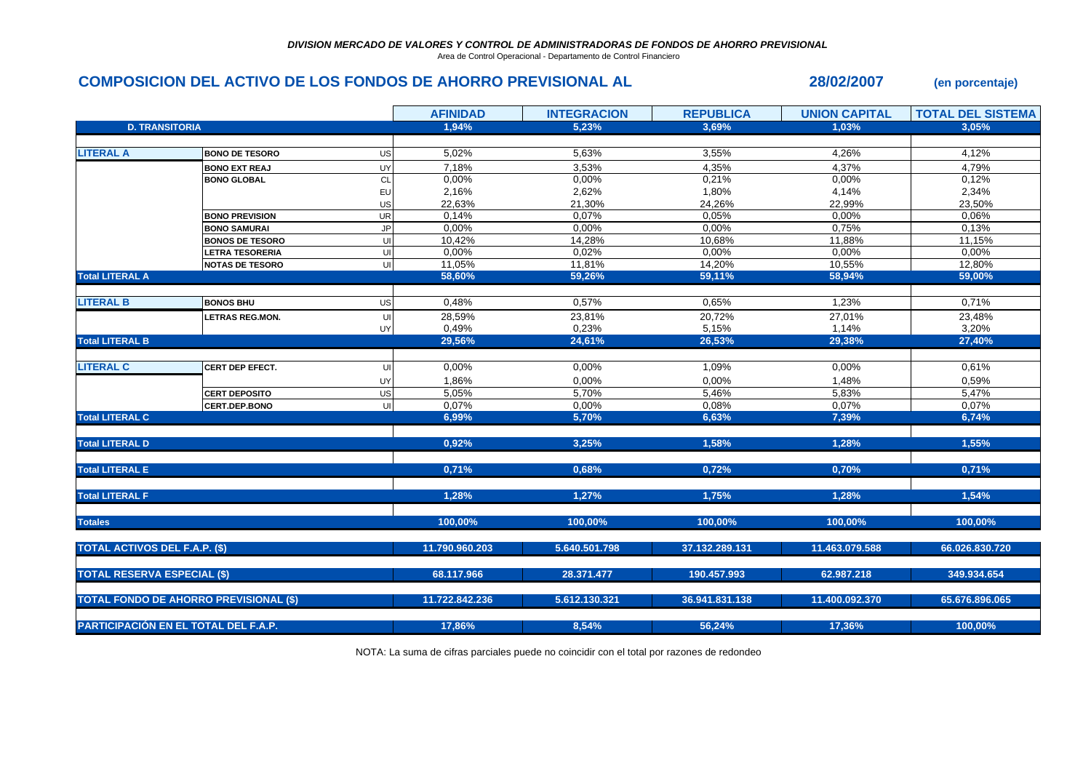Area de Control Operacional - Departamento de Control Financiero

## **COMPOSICION DEL ACTIVO DE LOS FONDOS DE AHORRO PREVISIONAL AL 28/02/2007 (en porcentaje)**

|                                      |                                               |           | <b>AFINIDAD</b> | <b>INTEGRACION</b> | <b>REPUBLICA</b> | <b>UNION CAPITAL</b> | <b>TOTAL DEL SISTEMA</b> |
|--------------------------------------|-----------------------------------------------|-----------|-----------------|--------------------|------------------|----------------------|--------------------------|
| <b>D. TRANSITORIA</b>                |                                               |           | 1,94%           | 5,23%              | 3,69%            | 1,03%                | 3.05%                    |
|                                      |                                               |           |                 |                    |                  |                      |                          |
| <b>LITERAL A</b>                     | <b>BONO DE TESORO</b>                         | US        | 5,02%           | 5,63%              | 3,55%            | 4,26%                | 4,12%                    |
|                                      | <b>BONO EXT REAJ</b>                          | UY        | 7,18%           | 3,53%              | 4,35%            | 4,37%                | 4,79%                    |
|                                      | <b>BONO GLOBAL</b>                            | <b>CL</b> | 0,00%           | 0,00%              | 0,21%            | 0,00%                | 0,12%                    |
|                                      |                                               | EU        | 2,16%           | 2,62%              | 1,80%            | 4,14%                | 2,34%                    |
|                                      |                                               | US        | 22,63%          | 21,30%             | 24,26%           | 22,99%               | 23,50%                   |
|                                      | <b>BONO PREVISION</b>                         | UR        | 0,14%           | 0,07%              | 0,05%            | 0,00%                | 0,06%                    |
|                                      | <b>BONO SAMURAI</b>                           | JP        | 0,00%           | $0.00\%$           | 0,00%            | 0,75%                | 0,13%                    |
|                                      | <b>BONOS DE TESORO</b>                        | UI        | 10,42%          | 14,28%             | 10,68%           | 11,88%               | 11,15%                   |
|                                      | <b>LETRA TESORERIA</b>                        | UI        | 0,00%           | 0,02%              | 0.00%            | 0.00%                | 0,00%                    |
|                                      | <b>NOTAS DE TESORO</b>                        | UI        | 11,05%          | 11,81%             | 14,20%           | 10,55%               | 12,80%                   |
| <b>Total LITERAL A</b>               |                                               |           | 58,60%          | 59,26%             | 59,11%           | 58,94%               | 59,00%                   |
|                                      |                                               |           |                 |                    |                  |                      |                          |
| <b>LITERAL B</b>                     | <b>BONOS BHU</b>                              | US        | 0,48%           | 0,57%              | 0,65%            | 1,23%                | 0,71%                    |
|                                      | <b>ETRAS REG.MON.</b>                         | UI        | 28,59%          | 23,81%             | 20,72%           | 27,01%               | 23,48%                   |
|                                      |                                               | UY        | 0,49%           | 0,23%              | 5,15%            | 1,14%                | 3,20%                    |
| <b>Total LITERAL B</b>               |                                               |           | 29,56%          | 24,61%             | 26,53%           | 29,38%               | 27,40%                   |
|                                      |                                               |           |                 |                    |                  |                      |                          |
| <b>LITERAL C</b>                     | <b>CERT DEP EFECT.</b>                        | UI        | 0,00%           | 0,00%              | 1,09%            | 0,00%                | 0,61%                    |
|                                      |                                               | UY        | 1,86%           | 0,00%              | 0,00%            | 1,48%                | 0,59%                    |
|                                      | <b>CERT DEPOSITO</b>                          | US        | 5,05%           | 5,70%              | 5,46%            | 5,83%                | 5,47%                    |
|                                      | <b>CERT.DEP.BONO</b>                          | UI        | 0,07%           | 0,00%              | 0,08%            | 0,07%                | 0,07%                    |
| <b>Total LITERAL C</b>               |                                               |           | 6,99%           | 5,70%              | 6,63%            | 7,39%                | 6,74%                    |
|                                      |                                               |           |                 |                    |                  |                      |                          |
| <b>Total LITERAL D</b>               |                                               |           | 0,92%           | 3,25%              | 1,58%            | 1,28%                | 1,55%                    |
| <b>Total LITERAL E</b>               |                                               |           | 0,71%           | 0,68%              | 0,72%            | 0,70%                | 0,71%                    |
| <b>Total LITERAL F</b>               |                                               |           | 1,28%           | 1,27%              |                  | 1,28%                | 1,54%                    |
|                                      |                                               |           |                 |                    | 1,75%            |                      |                          |
| <b>Totales</b>                       |                                               |           | 100,00%         | 100,00%            | 100,00%          | 100,00%              | 100,00%                  |
| <b>TOTAL ACTIVOS DEL F.A.P. (\$)</b> |                                               |           | 11.790.960.203  | 5.640.501.798      | 37.132.289.131   | 11.463.079.588       | 66.026.830.720           |
|                                      |                                               |           |                 |                    |                  |                      |                          |
| <b>TOTAL RESERVA ESPECIAL (\$)</b>   |                                               |           | 68.117.966      | 28.371.477         | 190.457.993      | 62.987.218           | 349.934.654              |
|                                      | <b>TOTAL FONDO DE AHORRO PREVISIONAL (\$)</b> |           | 11.722.842.236  | 5.612.130.321      | 36.941.831.138   | 11.400.092.370       | 65.676.896.065           |
|                                      |                                               |           |                 |                    |                  |                      |                          |
| PARTICIPACIÓN EN EL TOTAL DEL F.A.P. |                                               |           | 17,86%          | 8,54%              | 56,24%           | 17,36%               | 100,00%                  |

NOTA: La suma de cifras parciales puede no coincidir con el total por razones de redondeo